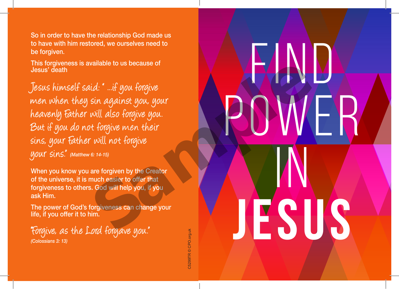So in order to have the relationship God made us to have with him restored, we ourselves need to be forgiven.

This forgiveness is available to us because of Jesus' death

Jesus himself said: " ...if you forgive men when they sin against you, your heavenly Father will also forgive you. But if you do not forgive men their sins, your Father will not forgive your sins." *(Matthew 6: 14-15)* aid: "...if you forgive<br>
sin against you, your<br>
will also forgive you.<br>
will not forgive men their<br>
r will not forgive<br>
re their<br>
s. God will help you, if you<br>
forgiveness can change your<br>
im.<br>
Lord forgave you.

When you know you are forgiven by the Creator of the universe, it is much easier to offer that forgiveness to others. God will help you, if you ask Him.

The power of God's forgiveness can change your life, if you offer it to him.

"Forgive, as the Lord forgave you." *(Colossians 3: 13)*

C5299TR © CPO.org.uk

FIND

POWER

 $\overline{\textsf{N}}$ 

**JESUS**